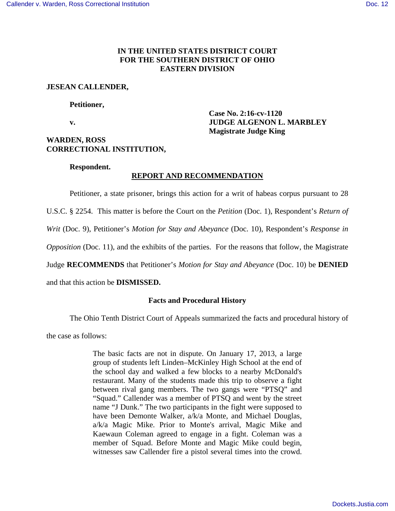# **IN THE UNITED STATES DISTRICT COURT FOR THE SOUTHERN DISTRICT OF OHIO EASTERN DIVISION**

# **JESEAN CALLENDER,**

### **Petitioner,**

 **Case No. 2:16-cv-1120 v. IUDGE ALGENON L. MARBLEY Magistrate Judge King**

# **WARDEN, ROSS CORRECTIONAL INSTITUTION,**

## **Respondent.**

# **REPORT AND RECOMMENDATION**

Petitioner, a state prisoner, brings this action for a writ of habeas corpus pursuant to 28

U.S.C. § 2254. This matter is before the Court on the *Petition* (Doc. 1), Respondent's *Return of* 

*Writ* (Doc. 9), Petitioner's *Motion for Stay and Abeyance* (Doc. 10), Respondent's *Response in* 

*Opposition* (Doc. 11), and the exhibits of the parties. For the reasons that follow, the Magistrate

Judge **RECOMMENDS** that Petitioner's *Motion for Stay and Abeyance* (Doc. 10) be **DENIED** 

and that this action be **DISMISSED.** 

# **Facts and Procedural History**

The Ohio Tenth District Court of Appeals summarized the facts and procedural history of

the case as follows:

The basic facts are not in dispute. On January 17, 2013, a large group of students left Linden–McKinley High School at the end of the school day and walked a few blocks to a nearby McDonald's restaurant. Many of the students made this trip to observe a fight between rival gang members. The two gangs were "PTSQ" and "Squad." Callender was a member of PTSQ and went by the street name "J Dunk." The two participants in the fight were supposed to have been Demonte Walker, a/k/a Monte, and Michael Douglas, a/k/a Magic Mike. Prior to Monte's arrival, Magic Mike and Kaewaun Coleman agreed to engage in a fight. Coleman was a member of Squad. Before Monte and Magic Mike could begin, witnesses saw Callender fire a pistol several times into the crowd.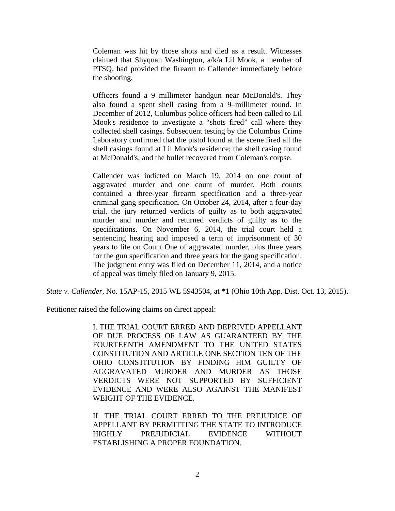Coleman was hit by those shots and died as a result. Witnesses claimed that Shyquan Washington, a/k/a Lil Mook, a member of PTSQ, had provided the firearm to Callender immediately before the shooting.

Officers found a 9–millimeter handgun near McDonald's. They also found a spent shell casing from a 9–millimeter round. In December of 2012, Columbus police officers had been called to Lil Mook's residence to investigate a "shots fired" call where they collected shell casings. Subsequent testing by the Columbus Crime Laboratory confirmed that the pistol found at the scene fired all the shell casings found at Lil Mook's residence; the shell casing found at McDonald's; and the bullet recovered from Coleman's corpse.

Callender was indicted on March 19, 2014 on one count of aggravated murder and one count of murder. Both counts contained a three-year firearm specification and a three-year criminal gang specification. On October 24, 2014, after a four-day trial, the jury returned verdicts of guilty as to both aggravated murder and murder and returned verdicts of guilty as to the specifications. On November 6, 2014, the trial court held a sentencing hearing and imposed a term of imprisonment of 30 years to life on Count One of aggravated murder, plus three years for the gun specification and three years for the gang specification. The judgment entry was filed on December 11, 2014, and a notice of appeal was timely filed on January 9, 2015.

*State v. Callender*, No. 15AP-15, 2015 WL 5943504, at \*1 (Ohio 10th App. Dist. Oct. 13, 2015).

Petitioner raised the following claims on direct appeal:

I. THE TRIAL COURT ERRED AND DEPRIVED APPELLANT OF DUE PROCESS OF LAW AS GUARANTEED BY THE FOURTEENTH AMENDMENT TO THE UNITED STATES CONSTITUTION AND ARTICLE ONE SECTION TEN OF THE OHIO CONSTITUTION BY FINDING HIM GUILTY OF AGGRAVATED MURDER AND MURDER AS THOSE VERDICTS WERE NOT SUPPORTED BY SUFFICIENT EVIDENCE AND WERE ALSO AGAINST THE MANIFEST WEIGHT OF THE EVIDENCE.

II. THE TRIAL COURT ERRED TO THE PREJUDICE OF APPELLANT BY PERMITTING THE STATE TO INTRODUCE HIGHLY PREJUDICIAL EVIDENCE WITHOUT ESTABLISHING A PROPER FOUNDATION.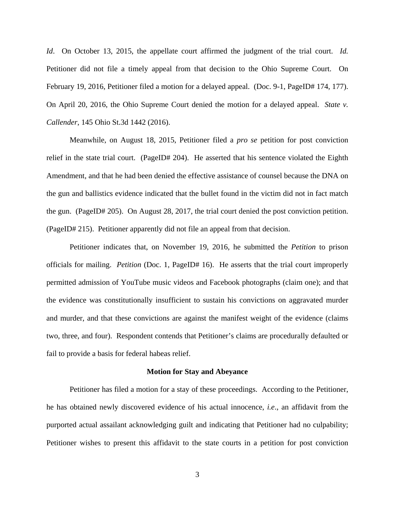*Id*. On October 13, 2015, the appellate court affirmed the judgment of the trial court. *Id.*  Petitioner did not file a timely appeal from that decision to the Ohio Supreme Court. On February 19, 2016, Petitioner filed a motion for a delayed appeal. (Doc. 9-1, PageID# 174, 177). On April 20, 2016, the Ohio Supreme Court denied the motion for a delayed appeal. *State v. Callender*, 145 Ohio St.3d 1442 (2016).

Meanwhile, on August 18, 2015, Petitioner filed a *pro se* petition for post conviction relief in the state trial court. (PageID# 204). He asserted that his sentence violated the Eighth Amendment, and that he had been denied the effective assistance of counsel because the DNA on the gun and ballistics evidence indicated that the bullet found in the victim did not in fact match the gun. (PageID# 205). On August 28, 2017, the trial court denied the post conviction petition. (PageID# 215). Petitioner apparently did not file an appeal from that decision.

 Petitioner indicates that, on November 19, 2016, he submitted the *Petition* to prison officials for mailing. *Petition* (Doc. 1, PageID# 16). He asserts that the trial court improperly permitted admission of YouTube music videos and Facebook photographs (claim one); and that the evidence was constitutionally insufficient to sustain his convictions on aggravated murder and murder, and that these convictions are against the manifest weight of the evidence (claims two, three, and four). Respondent contends that Petitioner's claims are procedurally defaulted or fail to provide a basis for federal habeas relief.

#### **Motion for Stay and Abeyance**

 Petitioner has filed a motion for a stay of these proceedings. According to the Petitioner, he has obtained newly discovered evidence of his actual innocence, *i.e*., an affidavit from the purported actual assailant acknowledging guilt and indicating that Petitioner had no culpability; Petitioner wishes to present this affidavit to the state courts in a petition for post conviction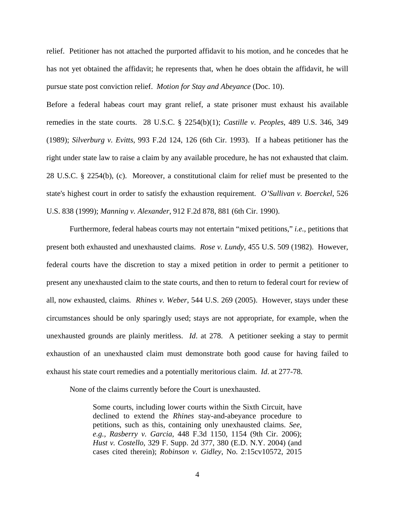relief. Petitioner has not attached the purported affidavit to his motion, and he concedes that he has not yet obtained the affidavit; he represents that, when he does obtain the affidavit, he will pursue state post conviction relief. *Motion for Stay and Abeyance* (Doc. 10).

Before a federal habeas court may grant relief, a state prisoner must exhaust his available remedies in the state courts. 28 U.S.C. § 2254(b)(1); *Castille v. Peoples*, 489 U.S. 346, 349 (1989); *Silverburg v. Evitts*, 993 F.2d 124, 126 (6th Cir. 1993). If a habeas petitioner has the right under state law to raise a claim by any available procedure, he has not exhausted that claim. 28 U.S.C. § 2254(b), (c). Moreover, a constitutional claim for relief must be presented to the state's highest court in order to satisfy the exhaustion requirement. *O'Sullivan v. Boerckel*, 526 U.S. 838 (1999); *Manning v. Alexander*, 912 F.2d 878, 881 (6th Cir. 1990).

Furthermore, federal habeas courts may not entertain "mixed petitions," *i.e.,* petitions that present both exhausted and unexhausted claims. *Rose v. Lundy*, 455 U.S. 509 (1982). However, federal courts have the discretion to stay a mixed petition in order to permit a petitioner to present any unexhausted claim to the state courts, and then to return to federal court for review of all, now exhausted, claims*. Rhines v. Weber*, 544 U.S. 269 (2005). However, stays under these circumstances should be only sparingly used; stays are not appropriate, for example, when the unexhausted grounds are plainly meritless. *Id*. at 278. A petitioner seeking a stay to permit exhaustion of an unexhausted claim must demonstrate both good cause for having failed to exhaust his state court remedies and a potentially meritorious claim. *Id*. at 277-78.

None of the claims currently before the Court is unexhausted.

Some courts, including lower courts within the Sixth Circuit, have declined to extend the *Rhines* stay-and-abeyance procedure to petitions, such as this, containing only unexhausted claims. *See, e.g., Rasberry v. Garcia*, 448 F.3d 1150, 1154 (9th Cir. 2006); *Hust v. Costello*, 329 F. Supp. 2d 377, 380 (E.D. N.Y. 2004) (and cases cited therein); *Robinson v. Gidley*, No. 2:15cv10572, 2015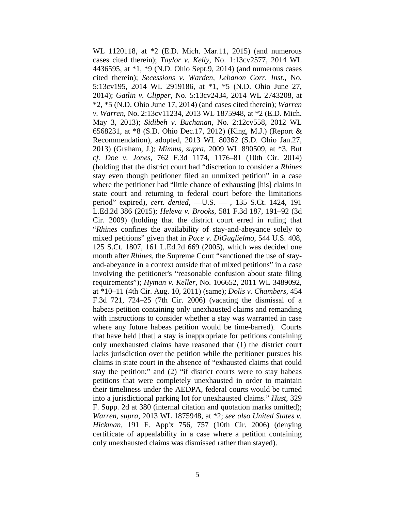WL 1120118, at \*2 (E.D. Mich. Mar.11, 2015) (and numerous cases cited therein); *Taylor v. Kelly*, No. 1:13cv2577, 2014 WL 4436595, at \*1, \*9 (N.D. Ohio Sept.9, 2014) (and numerous cases cited therein); *Secessions v. Warden, Lebanon Corr. Inst*., No. 5:13cv195, 2014 WL 2919186, at \*1, \*5 (N.D. Ohio June 27, 2014); *Gatlin v. Clipper*, No. 5:13cv2434, 2014 WL 2743208, at \*2, \*5 (N.D. Ohio June 17, 2014) (and cases cited therein); *Warren v. Warren,* No. 2:13cv11234, 2013 WL 1875948, at \*2 (E.D. Mich. May 3, 2013); *Sidibeh v. Buchanan*, No. 2:12cv558, 2012 WL 6568231, at \*8 (S.D. Ohio Dec.17, 2012) (King, M.J.) (Report & Recommendation), adopted, 2013 WL 80362 (S.D. Ohio Jan.27, 2013) (Graham, J.); *Mimms, supra*, 2009 WL 890509, at \*3. But *cf. Doe v. Jones,* 762 F.3d 1174, 1176–81 (10th Cir. 2014) (holding that the district court had "discretion to consider a *Rhines*  stay even though petitioner filed an unmixed petition" in a case where the petitioner had "little chance of exhausting [his] claims in state court and returning to federal court before the limitations period" expired), *cert. denied*, —U.S. — , 135 S.Ct. 1424, 191 L.Ed.2d 386 (2015); *Heleva v. Brooks*, 581 F.3d 187, 191–92 (3d Cir. 2009) (holding that the district court erred in ruling that "*Rhines* confines the availability of stay-and-abeyance solely to mixed petitions" given that in *Pace v. DiGuglielmo*, 544 U.S. 408, 125 S.Ct. 1807, 161 L.Ed.2d 669 (2005), which was decided one month after *Rhines*, the Supreme Court "sanctioned the use of stayand-abeyance in a context outside that of mixed petitions" in a case involving the petitioner's "reasonable confusion about state filing requirements"); *Hyman v. Keller*, No. 106652, 2011 WL 3489092, at \*10–11 (4th Cir. Aug. 10, 2011) (same); *Dolis v. Chambers*, 454 F.3d 721, 724–25 (7th Cir. 2006) (vacating the dismissal of a habeas petition containing only unexhausted claims and remanding with instructions to consider whether a stay was warranted in case where any future habeas petition would be time-barred). Courts that have held [that] a stay is inappropriate for petitions containing only unexhausted claims have reasoned that (1) the district court lacks jurisdiction over the petition while the petitioner pursues his claims in state court in the absence of "exhausted claims that could stay the petition;" and (2) "if district courts were to stay habeas petitions that were completely unexhausted in order to maintain their timeliness under the AEDPA, federal courts would be turned into a jurisdictional parking lot for unexhausted claims." *Hust*, 329 F. Supp. 2d at 380 (internal citation and quotation marks omitted); *Warren, supra*, 2013 WL 1875948, at \*2; *see also United States v. Hickman,* 191 F. App'x 756, 757 (10th Cir. 2006) (denying certificate of appealability in a case where a petition containing only unexhausted claims was dismissed rather than stayed).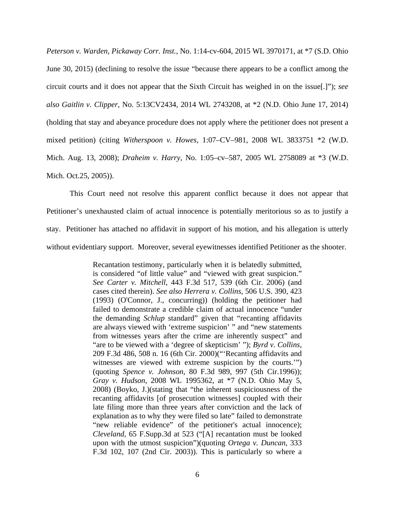*Peterson v. Warden, Pickaway Corr. Inst.,* No. 1:14-cv-604, 2015 WL 3970171, at \*7 (S.D. Ohio June 30, 2015) (declining to resolve the issue "because there appears to be a conflict among the circuit courts and it does not appear that the Sixth Circuit has weighed in on the issue[.]"); *see also Gaitlin v. Clipper,* No. 5:13CV2434, 2014 WL 2743208, at \*2 (N.D. Ohio June 17, 2014) (holding that stay and abeyance procedure does not apply where the petitioner does not present a mixed petition) (citing *Witherspoon v. Howes*, 1:07–CV–981, 2008 WL 3833751 \*2 (W.D. Mich. Aug. 13, 2008); *Draheim v. Harry*, No. 1:05–cv–587, 2005 WL 2758089 at \*3 (W.D. Mich. Oct.25, 2005)).

 This Court need not resolve this apparent conflict because it does not appear that Petitioner's unexhausted claim of actual innocence is potentially meritorious so as to justify a stay. Petitioner has attached no affidavit in support of his motion, and his allegation is utterly without evidentiary support. Moreover, several eyewitnesses identified Petitioner as the shooter.

> Recantation testimony, particularly when it is belatedly submitted, is considered "of little value" and "viewed with great suspicion." *See Carter v. Mitchell*, 443 F.3d 517, 539 (6th Cir. 2006) (and cases cited therein). *See also Herrera v. Collins*, 506 U.S. 390, 423 (1993) (O'Connor, J., concurring)) (holding the petitioner had failed to demonstrate a credible claim of actual innocence "under the demanding *Schlup* standard" given that "recanting affidavits are always viewed with 'extreme suspicion' " and "new statements from witnesses years after the crime are inherently suspect" and "are to be viewed with a 'degree of skepticism' "); *Byrd v. Collins*, 209 F.3d 486, 508 n. 16 (6th Cir. 2000)("'Recanting affidavits and witnesses are viewed with extreme suspicion by the courts.'") (quoting *Spence v. Johnson*, 80 F.3d 989, 997 (5th Cir.1996)); *Gray v. Hudson*, 2008 WL 1995362, at \*7 (N.D. Ohio May 5, 2008) (Boyko, J.)(stating that "the inherent suspiciousness of the recanting affidavits [of prosecution witnesses] coupled with their late filing more than three years after conviction and the lack of explanation as to why they were filed so late" failed to demonstrate "new reliable evidence" of the petitioner's actual innocence); *Cleveland*, 65 F.Supp.3d at 523 ("[A] recantation must be looked upon with the utmost suspicion")(quoting *Ortega v. Duncan*, 333 F.3d 102, 107 (2nd Cir. 2003)). This is particularly so where a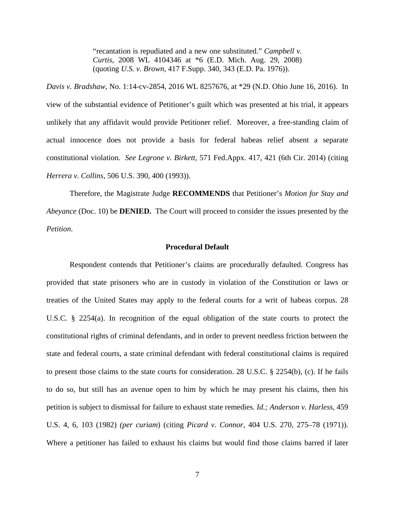"recantation is repudiated and a new one substituted." *Campbell v. Curtis*, 2008 WL 4104346 at \*6 (E.D. Mich. Aug. 29, 2008) (quoting *U.S. v. Brown*, 417 F.Supp. 340, 343 (E.D. Pa. 1976)).

*Davis v. Bradshaw*, No. 1:14-cv-2854, 2016 WL 8257676, at \*29 (N.D. Ohio June 16, 2016). In view of the substantial evidence of Petitioner's guilt which was presented at his trial, it appears unlikely that any affidavit would provide Petitioner relief. Moreover, a free-standing claim of actual innocence does not provide a basis for federal habeas relief absent a separate constitutional violation. *See Legrone v. Birkett*, 571 Fed.Appx. 417, 421 (6th Cir. 2014) (citing *Herrera v. Collins*, 506 U.S. 390, 400 (1993)).

 Therefore, the Magistrate Judge **RECOMMENDS** that Petitioner's *Motion for Stay and Abeyance* (Doc. 10) be **DENIED.** The Court will proceed to consider the issues presented by the *Petition*.

#### **Procedural Default**

Respondent contends that Petitioner's claims are procedurally defaulted. Congress has provided that state prisoners who are in custody in violation of the Constitution or laws or treaties of the United States may apply to the federal courts for a writ of habeas corpus. 28 U.S.C. § 2254(a). In recognition of the equal obligation of the state courts to protect the constitutional rights of criminal defendants, and in order to prevent needless friction between the state and federal courts, a state criminal defendant with federal constitutional claims is required to present those claims to the state courts for consideration. 28 U.S.C. § 2254(b), (c). If he fails to do so, but still has an avenue open to him by which he may present his claims, then his petition is subject to dismissal for failure to exhaust state remedies. *Id.; Anderson v. Harless*, 459 U.S. 4, 6, 103 (1982) *(per curiam*) (citing *Picard v. Connor*, 404 U.S. 270, 275–78 (1971)). Where a petitioner has failed to exhaust his claims but would find those claims barred if later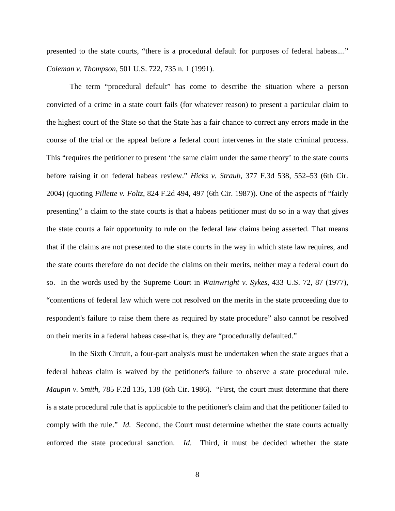presented to the state courts, "there is a procedural default for purposes of federal habeas...." *Coleman v. Thompson*, 501 U.S. 722, 735 n. 1 (1991).

The term "procedural default" has come to describe the situation where a person convicted of a crime in a state court fails (for whatever reason) to present a particular claim to the highest court of the State so that the State has a fair chance to correct any errors made in the course of the trial or the appeal before a federal court intervenes in the state criminal process. This "requires the petitioner to present 'the same claim under the same theory' to the state courts before raising it on federal habeas review." *Hicks v. Straub*, 377 F.3d 538, 552–53 (6th Cir. 2004) (quoting *Pillette v. Foltz*, 824 F.2d 494, 497 (6th Cir. 1987)). One of the aspects of "fairly presenting" a claim to the state courts is that a habeas petitioner must do so in a way that gives the state courts a fair opportunity to rule on the federal law claims being asserted. That means that if the claims are not presented to the state courts in the way in which state law requires, and the state courts therefore do not decide the claims on their merits, neither may a federal court do so. In the words used by the Supreme Court in *Wainwright v. Sykes*, 433 U.S. 72, 87 (1977), "contentions of federal law which were not resolved on the merits in the state proceeding due to respondent's failure to raise them there as required by state procedure" also cannot be resolved on their merits in a federal habeas case-that is, they are "procedurally defaulted."

In the Sixth Circuit, a four-part analysis must be undertaken when the state argues that a federal habeas claim is waived by the petitioner's failure to observe a state procedural rule. *Maupin v. Smith*, 785 F.2d 135, 138 (6th Cir. 1986). "First, the court must determine that there is a state procedural rule that is applicable to the petitioner's claim and that the petitioner failed to comply with the rule." *Id.* Second, the Court must determine whether the state courts actually enforced the state procedural sanction. *Id*. Third, it must be decided whether the state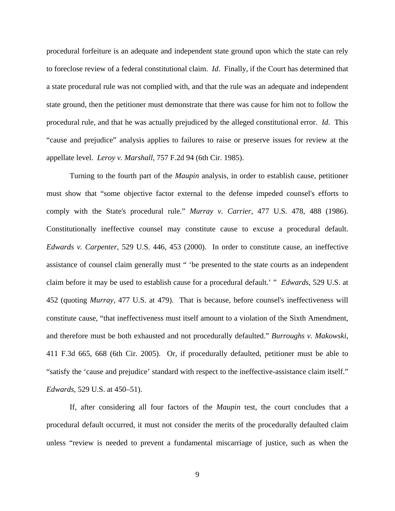procedural forfeiture is an adequate and independent state ground upon which the state can rely to foreclose review of a federal constitutional claim. *Id*. Finally, if the Court has determined that a state procedural rule was not complied with, and that the rule was an adequate and independent state ground, then the petitioner must demonstrate that there was cause for him not to follow the procedural rule, and that he was actually prejudiced by the alleged constitutional error. *Id*. This "cause and prejudice" analysis applies to failures to raise or preserve issues for review at the appellate level. *Leroy v. Marshall*, 757 F.2d 94 (6th Cir. 1985).

Turning to the fourth part of the *Maupin* analysis, in order to establish cause, petitioner must show that "some objective factor external to the defense impeded counsel's efforts to comply with the State's procedural rule." *Murray v. Carrier*, 477 U.S. 478, 488 (1986). Constitutionally ineffective counsel may constitute cause to excuse a procedural default. *Edwards v. Carpenter*, 529 U.S. 446, 453 (2000). In order to constitute cause, an ineffective assistance of counsel claim generally must " 'be presented to the state courts as an independent claim before it may be used to establish cause for a procedural default.' " *Edwards,* 529 U.S. at 452 (quoting *Murray*, 477 U.S. at 479). That is because, before counsel's ineffectiveness will constitute cause, "that ineffectiveness must itself amount to a violation of the Sixth Amendment, and therefore must be both exhausted and not procedurally defaulted." *Burroughs v. Makowski*, 411 F.3d 665, 668 (6th Cir. 2005). Or, if procedurally defaulted, petitioner must be able to "satisfy the 'cause and prejudice' standard with respect to the ineffective-assistance claim itself." *Edwards*, 529 U.S. at 450–51).

If, after considering all four factors of the *Maupin* test, the court concludes that a procedural default occurred, it must not consider the merits of the procedurally defaulted claim unless "review is needed to prevent a fundamental miscarriage of justice, such as when the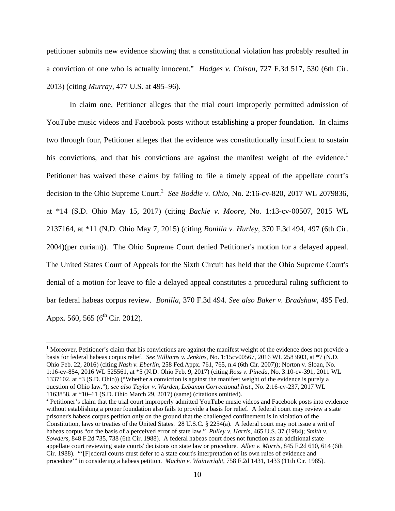petitioner submits new evidence showing that a constitutional violation has probably resulted in a conviction of one who is actually innocent." *Hodges v. Colson*, 727 F.3d 517, 530 (6th Cir. 2013) (citing *Murray*, 477 U.S. at 495–96).

 In claim one, Petitioner alleges that the trial court improperly permitted admission of YouTube music videos and Facebook posts without establishing a proper foundation. In claims two through four, Petitioner alleges that the evidence was constitutionally insufficient to sustain his convictions, and that his convictions are against the manifest weight of the evidence.<sup>1</sup> Petitioner has waived these claims by failing to file a timely appeal of the appellate court's decision to the Ohio Supreme Court.<sup>2</sup> See Boddie v. Ohio, No. 2:16-cv-820, 2017 WL 2079836, at \*14 (S.D. Ohio May 15, 2017) (citing *Backie v. Moore*, No. 1:13-cv-00507, 2015 WL 2137164, at \*11 (N.D. Ohio May 7, 2015) (citing *Bonilla v. Hurley*, 370 F.3d 494, 497 (6th Cir. 2004)(per curiam)). The Ohio Supreme Court denied Petitioner's motion for a delayed appeal. The United States Court of Appeals for the Sixth Circuit has held that the Ohio Supreme Court's denial of a motion for leave to file a delayed appeal constitutes a procedural ruling sufficient to bar federal habeas corpus review. *Bonilla*, 370 F.3d 494. *See also Baker v. Bradshaw*, 495 Fed. Appx. 560, 565 ( $6^{th}$  Cir. 2012).

<u>.</u>

 $1$  Moreover, Petitioner's claim that his convictions are against the manifest weight of the evidence does not provide a basis for federal habeas corpus relief. *See Williams v. Jenkins*, No. 1:15cv00567, 2016 WL 2583803, at \*7 (N.D. Ohio Feb. 22, 2016) (citing *Nash v. Eberlin*, 258 Fed.Appx. 761, 765, n.4 (6th Cir. 2007)); Norton v. Sloan, No. 1:16-cv-854, 2016 WL 525561, at \*5 (N.D. Ohio Feb. 9, 2017) (citing *Ross v. Pineda*, No. 3:10-cv-391, 2011 WL 1337102, at \*3 (S.D. Ohio)) ("Whether a conviction is against the manifest weight of the evidence is purely a question of Ohio law."); *see also Taylor v. Warden, Lebanon Correctional Inst*., No. 2:16-cv-237, 2017 WL 1163858, at \*10–11 (S.D. Ohio March 29, 2017) (same) (citations omitted).

 $2$  Petitioner's claim that the trial court improperly admitted YouTube music videos and Facebook posts into evidence without establishing a proper foundation also fails to provide a basis for relief. A federal court may review a state prisoner's habeas corpus petition only on the ground that the challenged confinement is in violation of the Constitution, laws or treaties of the United States. 28 U.S.C. § 2254(a). A federal court may not issue a writ of habeas corpus "on the basis of a perceived error of state law." *Pulley v. Harris*, 465 U.S. 37 (1984); *Smith v. Sowders,* 848 F.2d 735, 738 (6th Cir. 1988). A federal habeas court does not function as an additional state appellate court reviewing state courts' decisions on state law or procedure. *Allen v. Morris*, 845 F.2d 610, 614 (6th Cir. 1988). "'[F]ederal courts must defer to a state court's interpretation of its own rules of evidence and procedure'" in considering a habeas petition. *Machin v. Wainwright*, 758 F.2d 1431, 1433 (11th Cir. 1985).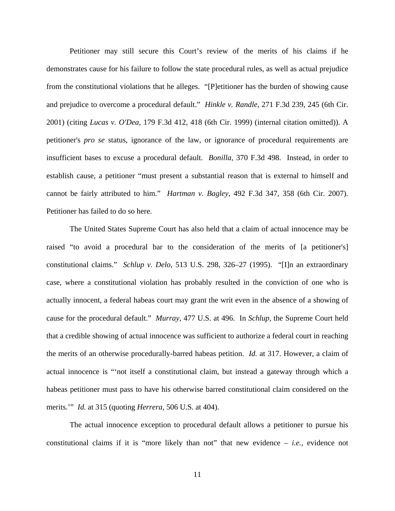Petitioner may still secure this Court's review of the merits of his claims if he demonstrates cause for his failure to follow the state procedural rules, as well as actual prejudice from the constitutional violations that he alleges. "[P]etitioner has the burden of showing cause and prejudice to overcome a procedural default." *Hinkle v. Randle*, 271 F.3d 239, 245 (6th Cir. 2001) (citing *Lucas v. O'Dea,* 179 F.3d 412, 418 (6th Cir. 1999) (internal citation omitted)). A petitioner's *pro se* status, ignorance of the law, or ignorance of procedural requirements are insufficient bases to excuse a procedural default. *Bonilla,* 370 F.3d 498. Instead, in order to establish cause, a petitioner "must present a substantial reason that is external to himself and cannot be fairly attributed to him." *Hartman v. Bagley*, 492 F.3d 347, 358 (6th Cir. 2007). Petitioner has failed to do so here.

The United States Supreme Court has also held that a claim of actual innocence may be raised "to avoid a procedural bar to the consideration of the merits of [a petitioner's] constitutional claims." *Schlup v. Delo*, 513 U.S. 298, 326–27 (1995). "[I]n an extraordinary case, where a constitutional violation has probably resulted in the conviction of one who is actually innocent, a federal habeas court may grant the writ even in the absence of a showing of cause for the procedural default." *Murray,* 477 U.S. at 496. In *Schlup,* the Supreme Court held that a credible showing of actual innocence was sufficient to authorize a federal court in reaching the merits of an otherwise procedurally-barred habeas petition. *Id.* at 317. However, a claim of actual innocence is "'not itself a constitutional claim, but instead a gateway through which a habeas petitioner must pass to have his otherwise barred constitutional claim considered on the merits.'" *Id.* at 315 (quoting *Herrera,* 506 U.S. at 404).

The actual innocence exception to procedural default allows a petitioner to pursue his constitutional claims if it is "more likely than not" that new evidence – *i.e.,* evidence not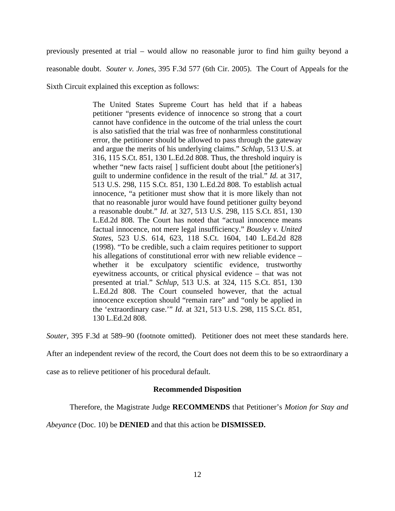previously presented at trial – would allow no reasonable juror to find him guilty beyond a reasonable doubt. *Souter v. Jones,* 395 F.3d 577 (6th Cir. 2005). The Court of Appeals for the

Sixth Circuit explained this exception as follows:

The United States Supreme Court has held that if a habeas petitioner "presents evidence of innocence so strong that a court cannot have confidence in the outcome of the trial unless the court is also satisfied that the trial was free of nonharmless constitutional error, the petitioner should be allowed to pass through the gateway and argue the merits of his underlying claims." *Schlup,* 513 U.S. at 316, 115 S.Ct. 851, 130 L.Ed.2d 808. Thus, the threshold inquiry is whether "new facts raise<sup>[]</sup> sufficient doubt about [the petitioner's] guilt to undermine confidence in the result of the trial." *Id.* at 317, 513 U.S. 298, 115 S.Ct. 851, 130 L.Ed.2d 808. To establish actual innocence, "a petitioner must show that it is more likely than not that no reasonable juror would have found petitioner guilty beyond a reasonable doubt." *Id*. at 327, 513 U.S. 298, 115 S.Ct. 851, 130 L.Ed.2d 808. The Court has noted that "actual innocence means factual innocence, not mere legal insufficiency." *Bousley v. United States*, 523 U.S. 614, 623, 118 S.Ct. 1604, 140 L.Ed.2d 828 (1998). "To be credible, such a claim requires petitioner to support his allegations of constitutional error with new reliable evidence – whether it be exculpatory scientific evidence, trustworthy eyewitness accounts, or critical physical evidence – that was not presented at trial." *Schlup*, 513 U.S. at 324, 115 S.Ct. 851, 130 L.Ed.2d 808. The Court counseled however, that the actual innocence exception should "remain rare" and "only be applied in the 'extraordinary case.'" *Id*. at 321, 513 U.S. 298, 115 S.Ct. 851, 130 L.Ed.2d 808.

*Souter*, 395 F.3d at 589–90 (footnote omitted). Petitioner does not meet these standards here.

After an independent review of the record, the Court does not deem this to be so extraordinary a

case as to relieve petitioner of his procedural default.

# **Recommended Disposition**

Therefore, the Magistrate Judge **RECOMMENDS** that Petitioner's *Motion for Stay and* 

*Abeyance* (Doc. 10) be **DENIED** and that this action be **DISMISSED.**